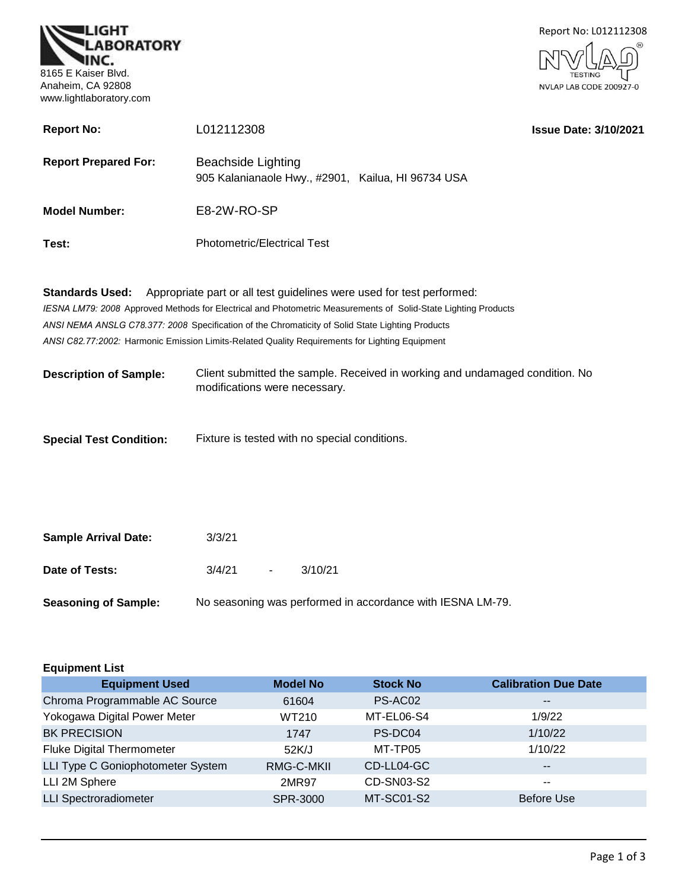



| <b>Report No:</b>           | L012112308                                                                                                                                                                                                     | <b>Issue Date: 3/10/2021</b> |
|-----------------------------|----------------------------------------------------------------------------------------------------------------------------------------------------------------------------------------------------------------|------------------------------|
| <b>Report Prepared For:</b> | Beachside Lighting<br>905 Kalanianaole Hwy., #2901, Kailua, HI 96734 USA                                                                                                                                       |                              |
| <b>Model Number:</b>        | E8-2W-RO-SP                                                                                                                                                                                                    |                              |
| Test:                       | <b>Photometric/Electrical Test</b>                                                                                                                                                                             |                              |
|                             | <b>Standards Used:</b> Appropriate part or all test guidelines were used for test performed:<br>IESNA LM79: 2008 Approved Methods for Electrical and Photometric Measurements of Solid-State Lighting Products |                              |
|                             | ANSI NEMA ANSLG C78.377: 2008 Specification of the Chromaticity of Solid State Lighting Products                                                                                                               |                              |
|                             |                                                                                                                                                                                                                |                              |
|                             | ANSI C82.77:2002: Harmonic Emission Limits-Related Quality Requirements for Lighting Equipment                                                                                                                 |                              |

**Description of Sample:** Client submitted the sample. Received in working and undamaged condition. No modifications were necessary.

| <b>Special Test Condition:</b> | Fixture is tested with no special conditions. |
|--------------------------------|-----------------------------------------------|
|--------------------------------|-----------------------------------------------|

| <b>Sample Arrival Date:</b> | 3/3/21 |        |                                                            |  |
|-----------------------------|--------|--------|------------------------------------------------------------|--|
| Date of Tests:              | 3/4/21 | $\sim$ | 3/10/21                                                    |  |
| <b>Seasoning of Sample:</b> |        |        | No seasoning was performed in accordance with IESNA LM-79. |  |

| <b>Equipment List</b>             |                 |                   |                             |  |  |
|-----------------------------------|-----------------|-------------------|-----------------------------|--|--|
| <b>Equipment Used</b>             | <b>Model No</b> | <b>Stock No</b>   | <b>Calibration Due Date</b> |  |  |
| Chroma Programmable AC Source     | 61604           | PS-AC02           | $\qquad \qquad -$           |  |  |
| Yokogawa Digital Power Meter      | WT210           | MT-EL06-S4        | 1/9/22                      |  |  |
| <b>BK PRECISION</b>               | 1747            | PS-DC04           | 1/10/22                     |  |  |
| <b>Fluke Digital Thermometer</b>  | 52K/J           | MT-TP05           | 1/10/22                     |  |  |
| LLI Type C Goniophotometer System | RMG-C-MKII      | CD-LL04-GC        | $- -$                       |  |  |
| LLI 2M Sphere                     | 2MR97           | CD-SN03-S2        | $- -$                       |  |  |
| <b>LLI Spectroradiometer</b>      | SPR-3000        | <b>MT-SC01-S2</b> | <b>Before Use</b>           |  |  |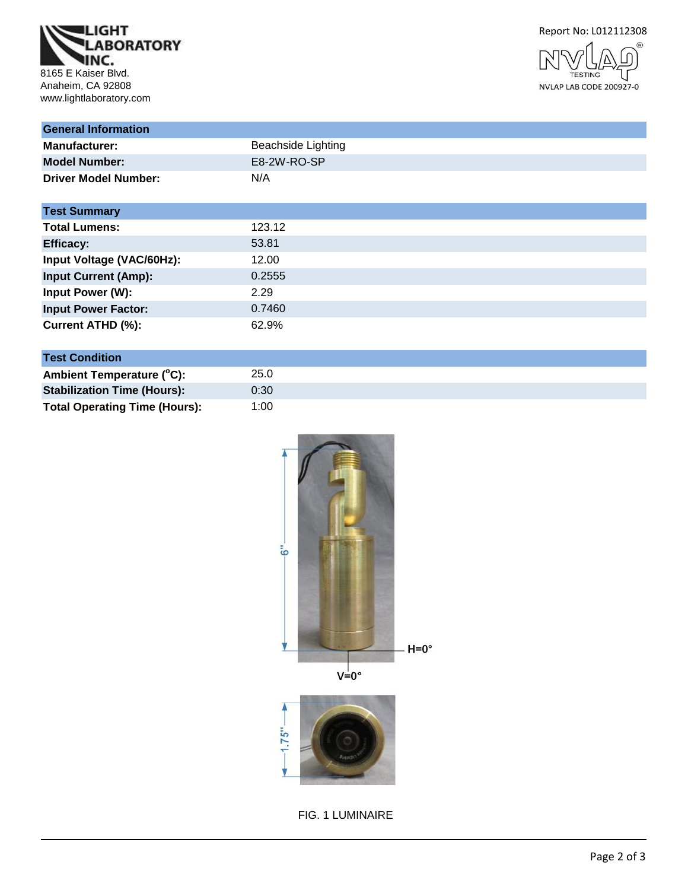





| <b>General Information</b>  |                           |
|-----------------------------|---------------------------|
| <b>Manufacturer:</b>        | <b>Beachside Lighting</b> |
| <b>Model Number:</b>        | E8-2W-RO-SP               |
| <b>Driver Model Number:</b> | N/A                       |
| <b>Test Summary</b>         |                           |
| <b>Total Lumens:</b>        | 123.12                    |
| <b>Efficacy:</b>            | 53.81                     |
| Input Voltage (VAC/60Hz):   | 12.00                     |
| <b>Input Current (Amp):</b> | 0.2555                    |
| Input Power (W):            | 2.29                      |
| <b>Input Power Factor:</b>  | 0.7460                    |
| Current ATHD (%):           | 62.9%                     |

# **Test Condition**

| Ambient Temperature (°C):            | 25.0 |
|--------------------------------------|------|
| <b>Stabilization Time (Hours):</b>   | 0:30 |
| <b>Total Operating Time (Hours):</b> | 1:00 |

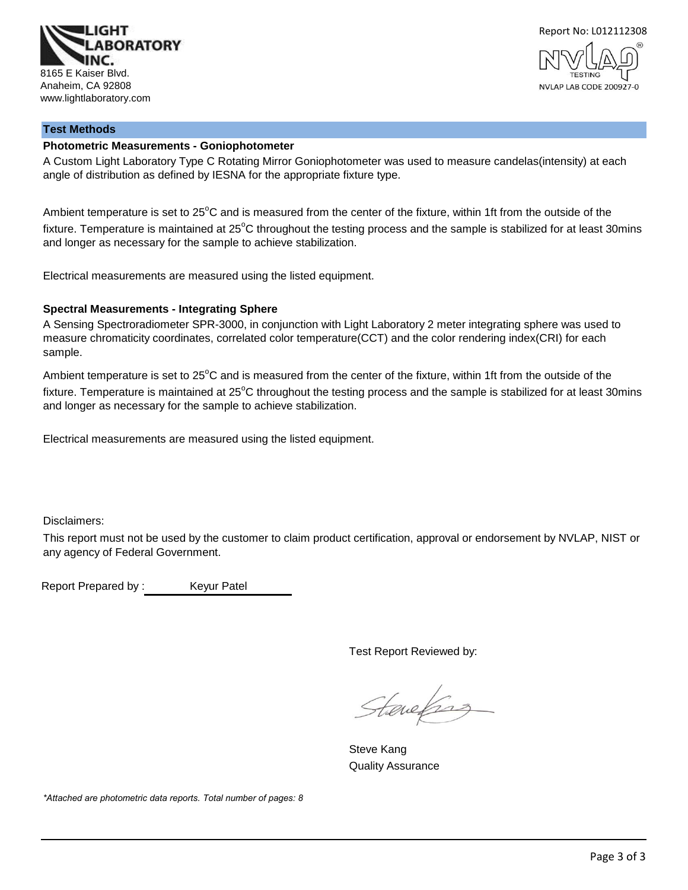



# **Test Methods**

#### **Photometric Measurements - Goniophotometer**

A Custom Light Laboratory Type C Rotating Mirror Goniophotometer was used to measure candelas(intensity) at each angle of distribution as defined by IESNA for the appropriate fixture type.

Ambient temperature is set to  $25^{\circ}$ C and is measured from the center of the fixture, within 1ft from the outside of the fixture. Temperature is maintained at  $25^{\circ}$ C throughout the testing process and the sample is stabilized for at least 30mins and longer as necessary for the sample to achieve stabilization.

Electrical measurements are measured using the listed equipment.

#### **Spectral Measurements - Integrating Sphere**

A Sensing Spectroradiometer SPR-3000, in conjunction with Light Laboratory 2 meter integrating sphere was used to measure chromaticity coordinates, correlated color temperature(CCT) and the color rendering index(CRI) for each sample.

Ambient temperature is set to 25°C and is measured from the center of the fixture, within 1ft from the outside of the fixture. Temperature is maintained at  $25^{\circ}$ C throughout the testing process and the sample is stabilized for at least 30mins and longer as necessary for the sample to achieve stabilization.

Electrical measurements are measured using the listed equipment.

Disclaimers:

This report must not be used by the customer to claim product certification, approval or endorsement by NVLAP, NIST or any agency of Federal Government.

Report Prepared by : Keyur Patel

Test Report Reviewed by:

Stanefing

Steve Kang Quality Assurance

*\*Attached are photometric data reports. Total number of pages: 8*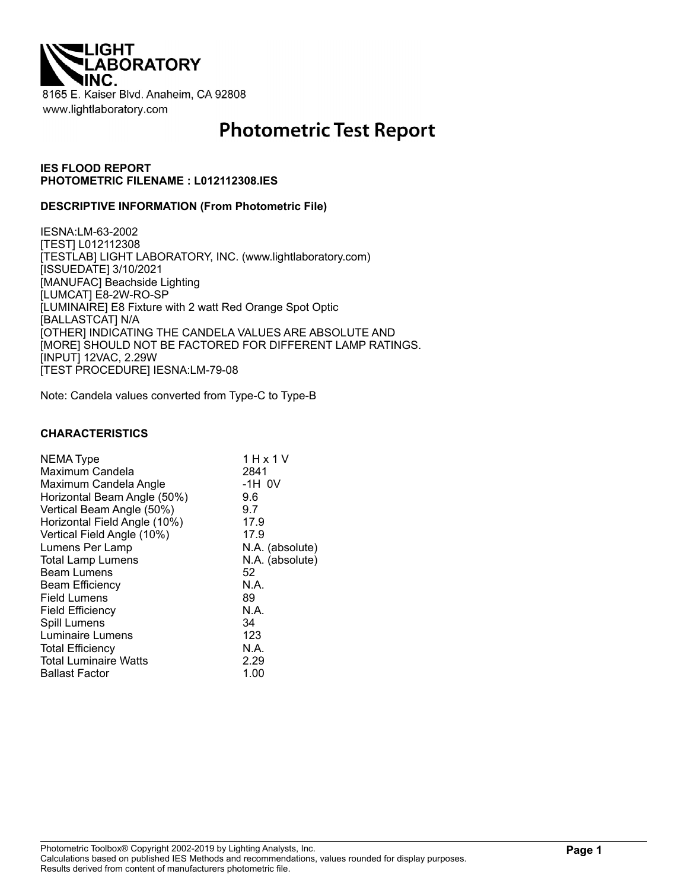

# **Photometric Test Report**

#### **IES FLOOD REPORT PHOTOMETRIC FILENAME : L012112308.IES**

#### **DESCRIPTIVE INFORMATION (From Photometric File)**

IESNA:LM-63-2002 [TEST] L012112308 [TESTLAB] LIGHT LABORATORY, INC. (www.lightlaboratory.com) [ISSUEDATE] 3/10/2021 [MANUFAC] Beachside Lighting [LUMCAT] E8-2W-RO-SP [LUMINAIRE] E8 Fixture with 2 watt Red Orange Spot Optic [BALLASTCAT] N/A [OTHER] INDICATING THE CANDELA VALUES ARE ABSOLUTE AND [MORE] SHOULD NOT BE FACTORED FOR DIFFERENT LAMP RATINGS. [INPUT] 12VAC, 2.29W [TEST PROCEDURE] IESNA:LM-79-08

Note: Candela values converted from Type-C to Type-B

#### **CHARACTERISTICS**

| NEMA Type                    | 1 H x 1 V       |
|------------------------------|-----------------|
| Maximum Candela              | 2841            |
| Maximum Candela Angle        | $-1H$ OV        |
| Horizontal Beam Angle (50%)  | 9.6             |
|                              |                 |
| Vertical Beam Angle (50%)    | 9.7             |
| Horizontal Field Angle (10%) | 17.9            |
| Vertical Field Angle (10%)   | 17.9            |
| Lumens Per Lamp              | N.A. (absolute) |
| <b>Total Lamp Lumens</b>     | N.A. (absolute) |
| <b>Beam Lumens</b>           | 52              |
| Beam Efficiency              | N.A.            |
| <b>Field Lumens</b>          | 89              |
| <b>Field Efficiency</b>      | N.A.            |
| Spill Lumens                 | 34              |
| Luminaire Lumens             | 123             |
| <b>Total Efficiency</b>      | N.A.            |
| <b>Total Luminaire Watts</b> | 2.29            |
| <b>Ballast Factor</b>        | 1.00            |
|                              |                 |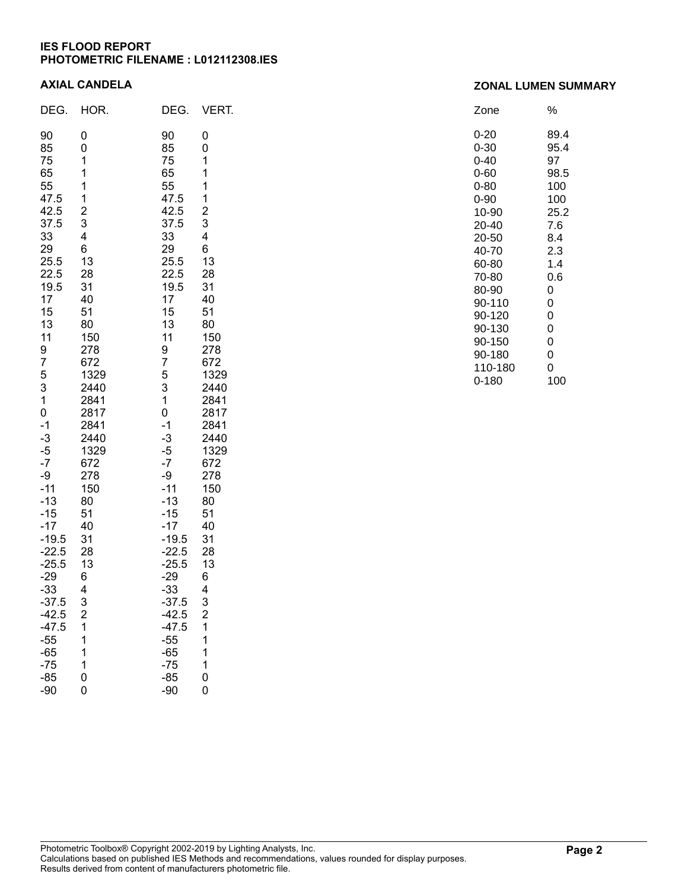#### **IES FLOOD REPORT PHOTOMETRIC FILENAME : L012112308.IES**

#### **AXIAL CANDELA**

| DEG.                                                                                                                                                                                                                                                                                                                                      | HOR.                                                                                                                                                                                                                                                                                                     | DEG.                                                                                                                                                                                                                                                                                                                                                | VERT.                                                                                                                                                                                                                                                                                      |
|-------------------------------------------------------------------------------------------------------------------------------------------------------------------------------------------------------------------------------------------------------------------------------------------------------------------------------------------|----------------------------------------------------------------------------------------------------------------------------------------------------------------------------------------------------------------------------------------------------------------------------------------------------------|-----------------------------------------------------------------------------------------------------------------------------------------------------------------------------------------------------------------------------------------------------------------------------------------------------------------------------------------------------|--------------------------------------------------------------------------------------------------------------------------------------------------------------------------------------------------------------------------------------------------------------------------------------------|
| 90<br>85<br>75<br>65<br>55<br>47.5<br>42.5<br>37.5<br>33<br>29<br>25.5<br>22.5<br>19.5<br>17<br>15<br>13<br>11<br>9<br>7<br>5<br>3<br>1<br>0<br>$-1$<br>$-3$<br>$-5$<br>$-7$<br>-9<br>$-11$<br>$-13$<br>$-15$<br>$-17$<br>$-19.5$<br>$-22.5$<br>$-25.5$<br>$-29$<br>$-33$<br>37.5<br>$-42.5$<br>$-47.5$<br>$-55$<br>$-65$<br>$-75$<br>-85 | 0<br>0<br>1<br>1<br>1<br>1<br>$\overline{c}$<br>3<br>4<br>6<br>13<br>28<br>31<br>40<br>51<br>80<br>150<br>278<br>672<br>1329<br>2440<br>2841<br>2817<br>2841<br>2440<br>1329<br>672<br>278<br>150<br>80<br>51<br>40<br>31<br>28<br>13<br>6<br>4<br>3<br>$\overline{\mathbf{c}}$<br>1<br>1<br>1<br>1<br>0 | 90<br>85<br>75<br>65<br>55<br>47.5<br>42.5<br>37.5<br>33<br>29<br>25.5<br>22.5<br>19.5<br>17<br>15<br>13<br>11<br>9<br>7<br>5<br>3<br>$\mathbf 1$<br>0<br>$-1$<br>$-3$<br>$-5$<br>$-7$<br>-9<br>$-11$<br>$-13$<br>$-15$<br>$-17$<br>$-19.5$<br>$-22.5$<br>$-25.5$<br>$-29$<br>$-33$<br>37.5<br>-42.5<br>$-47.5$<br>$-55$<br>$-65$<br>$-75$<br>$-85$ | 0<br>0<br>1<br>1<br>1<br>1<br>$\overline{c}$<br>3<br>4<br>6<br>13<br>28<br>31<br>40<br>51<br>80<br>150<br>278<br>672<br>1329<br>2440<br>2841<br>2817<br>2841<br>2440<br>1329<br>672<br>278<br>150<br>80<br>51<br>40<br>31<br>28<br>13<br>6<br>4<br>3<br>$\overline{c}$<br>1<br>1<br>1<br>1 |

| Zone  | %    |
|-------|------|
| 0-20  | 89.4 |
| 0-30  | 95.4 |
| 0-40  | 97   |
| 0-60  | 98.5 |
| 0-80  | 100  |
| 0-90  | 100  |
| 10-90 | 25.2 |
| 20-40 | 7.6  |
| 20-50 | 8.4  |
| 40-70 | 2.3  |
| 60-80 | 1.4  |
| 70-80 | 0.6  |

80-90 0<br>90-110 0 90-110 0<br>90-120 0 90-120 0<br>90-130 0 90-130 0<br>90-150 0 90-150 0<br>90-180 0 90-180

110-180 0<br>0-180 100

 $0 - 180$ 

| Photometric Toolbox® Copyright 2002-2019 by Lighting Analysts, Inc.                                   |
|-------------------------------------------------------------------------------------------------------|
| Calculations based on published IES Methods and recommendations, values rounded for display purposes. |
| Results derived from content of manufacturers photometric file.                                       |

# **Page 2**

# **ZONAL LUMEN SUMMARY**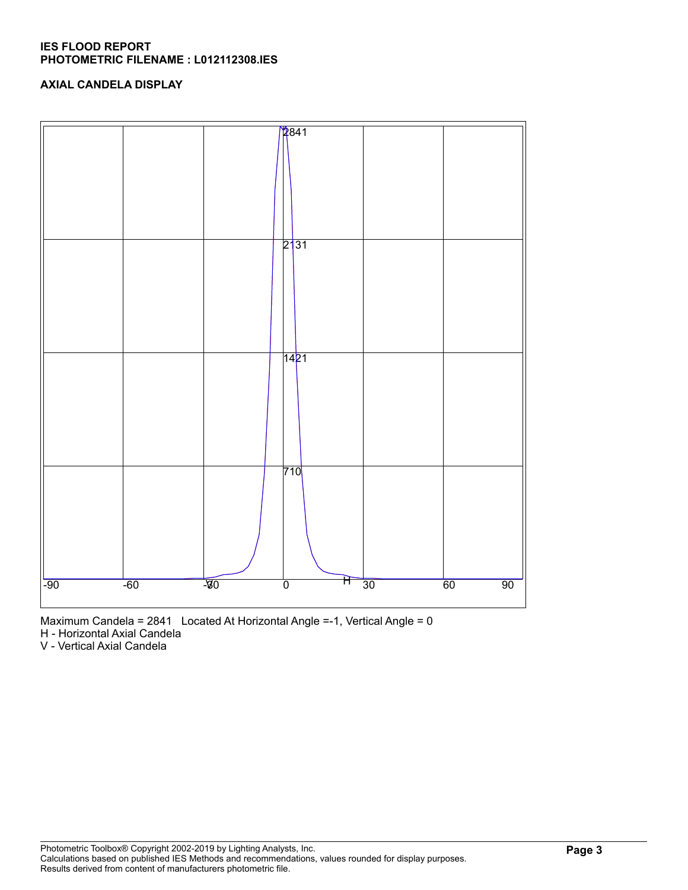#### **IES FLOOD REPORT PHOTOMETRIC FILENAME : L012112308.IES**

# **AXIAL CANDELA DISPLAY**



Maximum Candela = 2841 Located At Horizontal Angle =-1, Vertical Angle = 0

H - Horizontal Axial Candela

V - Vertical Axial Candela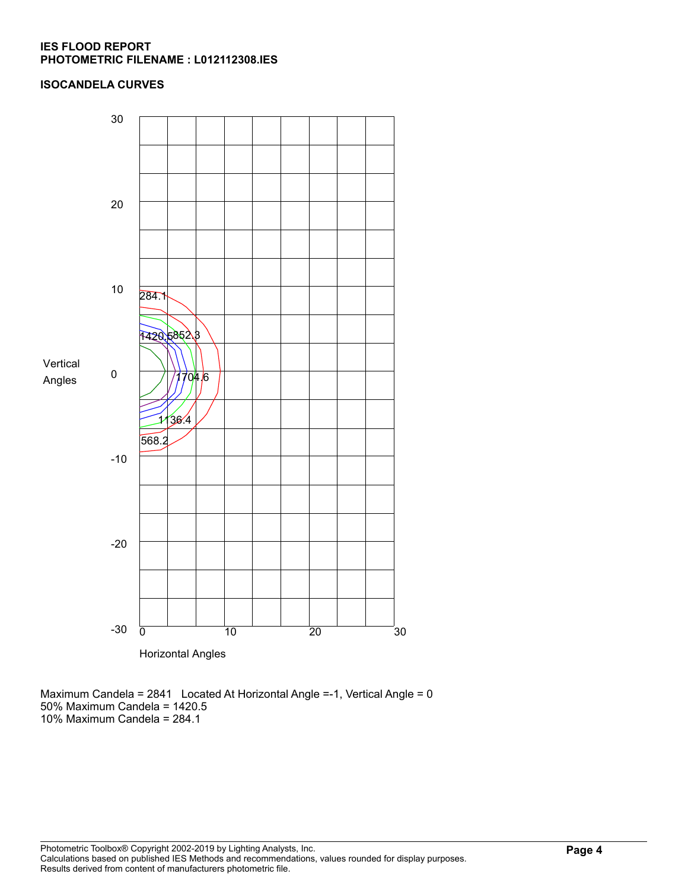#### **IES FLOOD REPORT PHOTOMETRIC FILENAME : L012112308.IES**

### **ISOCANDELA CURVES**



Maximum Candela = 2841 Located At Horizontal Angle =-1, Vertical Angle = 0 50% Maximum Candela = 1420.5 10% Maximum Candela = 284.1